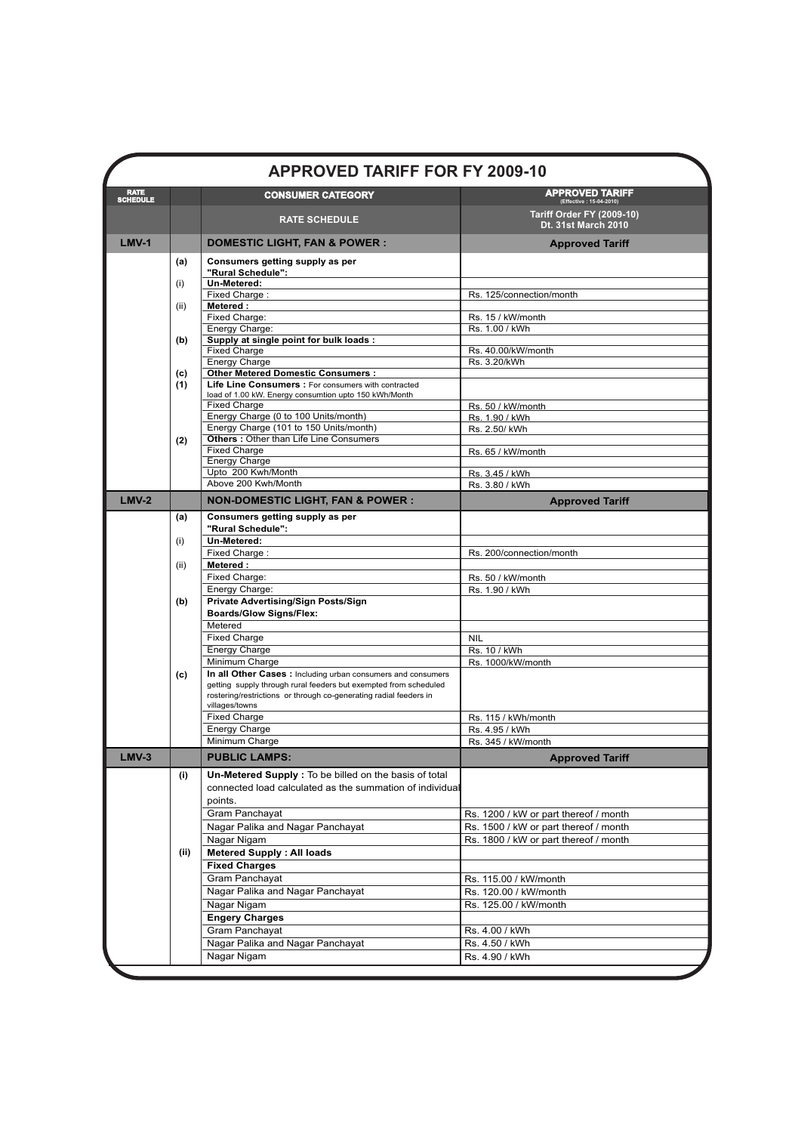|                                |            | <b>APPROVED TARIFF FOR FY 2009-10</b>                                                                                            |                                                                |
|--------------------------------|------------|----------------------------------------------------------------------------------------------------------------------------------|----------------------------------------------------------------|
| <b>RATE</b><br><b>SCHEDULE</b> |            | <b>CONSUMER CATEGORY</b>                                                                                                         | <b>APPROVED TARIFF</b><br>(Effective: 15-04-2010)              |
|                                |            | <b>RATE SCHEDULE</b>                                                                                                             | <b>Tariff Order FY (2009-10)</b><br><b>Dt. 31st March 2010</b> |
| $LMV-1$                        |            | <b>DOMESTIC LIGHT, FAN &amp; POWER :</b>                                                                                         | <b>Approved Tariff</b>                                         |
|                                | (a)        | Consumers getting supply as per<br>"Rural Schedule":                                                                             |                                                                |
|                                | (i)        | Un-Metered:                                                                                                                      |                                                                |
|                                |            | Fixed Charge:                                                                                                                    | Rs. 125/connection/month                                       |
|                                | (ii)       | Metered:                                                                                                                         |                                                                |
|                                |            | Fixed Charge:<br>Energy Charge:                                                                                                  | Rs. 15 / kW/month<br>Rs. 1.00 / kWh                            |
|                                | (b)        | Supply at single point for bulk loads:                                                                                           |                                                                |
|                                |            | <b>Fixed Charge</b>                                                                                                              | Rs. 40.00/kW/month                                             |
|                                |            | Energy Charge                                                                                                                    | Rs. 3.20/kWh                                                   |
|                                | (c)<br>(1) | <b>Other Metered Domestic Consumers:</b><br>Life Line Consumers : For consumers with contracted                                  |                                                                |
|                                |            | load of 1.00 kW. Energy consumtion upto 150 kWh/Month                                                                            |                                                                |
|                                |            | <b>Fixed Charge</b>                                                                                                              | Rs. 50 / kW/month                                              |
|                                |            | Energy Charge (0 to 100 Units/month)                                                                                             | Rs. 1.90 / kWh                                                 |
|                                | (2)        | Energy Charge (101 to 150 Units/month)<br><b>Others: Other than Life Line Consumers</b>                                          | Rs. 2.50/ kWh                                                  |
|                                |            | <b>Fixed Charge</b>                                                                                                              | Rs. 65 / kW/month                                              |
|                                |            | Energy Charge                                                                                                                    |                                                                |
|                                |            | Upto 200 Kwh/Month                                                                                                               | Rs. 3.45 / kWh                                                 |
|                                |            | Above 200 Kwh/Month                                                                                                              | Rs. 3.80 / kWh                                                 |
| $LMV-2$                        |            | <b>NON-DOMESTIC LIGHT, FAN &amp; POWER:</b>                                                                                      | <b>Approved Tariff</b>                                         |
|                                | (a)        | Consumers getting supply as per<br>"Rural Schedule":                                                                             |                                                                |
|                                | (i)        | Un-Metered:                                                                                                                      |                                                                |
|                                |            | Fixed Charge:                                                                                                                    | Rs. 200/connection/month                                       |
|                                | (ii)       | Metered:                                                                                                                         |                                                                |
|                                |            | Fixed Charge:                                                                                                                    | Rs. 50 / kW/month                                              |
|                                |            | Energy Charge:<br>Private Advertising/Sign Posts/Sign                                                                            | Rs. 1.90 / kWh                                                 |
|                                | (b)        | <b>Boards/Glow Signs/Flex:</b>                                                                                                   |                                                                |
|                                |            | Metered                                                                                                                          |                                                                |
|                                |            | <b>Fixed Charge</b>                                                                                                              | <b>NIL</b>                                                     |
|                                |            | <b>Energy Charge</b>                                                                                                             | Rs. 10 / kWh                                                   |
|                                |            | Minimum Charge                                                                                                                   | Rs. 1000/kW/month                                              |
|                                | (c)        | In all Other Cases : Including urban consumers and consumers<br>getting supply through rural feeders but exempted from scheduled |                                                                |
|                                |            | rostering/restrictions or through co-generating radial feeders in                                                                |                                                                |
|                                |            | villages/towns                                                                                                                   |                                                                |
|                                |            | <b>Fixed Charge</b>                                                                                                              | Rs. 115 / kWh/month                                            |
|                                |            | Energy Charge                                                                                                                    | Rs. 4.95 / kWh                                                 |
| $LMV-3$                        |            | Minimum Charge<br><b>PUBLIC LAMPS:</b>                                                                                           | Rs. 345 / kW/month                                             |
|                                | (i)        | Un-Metered Supply : To be billed on the basis of total                                                                           | <b>Approved Tariff</b>                                         |
|                                |            | connected load calculated as the summation of individual                                                                         |                                                                |
|                                |            | points.                                                                                                                          |                                                                |
|                                |            | Gram Panchayat                                                                                                                   | Rs. 1200 / kW or part thereof / month                          |
|                                |            | Nagar Palika and Nagar Panchayat                                                                                                 | Rs. 1500 / kW or part thereof / month                          |
|                                |            | Nagar Nigam                                                                                                                      | Rs. 1800 / kW or part thereof / month                          |
|                                | (ii)       | <b>Metered Supply: All loads</b>                                                                                                 |                                                                |
|                                |            | <b>Fixed Charges</b>                                                                                                             |                                                                |
|                                |            | Gram Panchayat                                                                                                                   | Rs. 115.00 / kW/month                                          |
|                                |            | Nagar Palika and Nagar Panchayat                                                                                                 | Rs. 120.00 / kW/month                                          |
|                                |            | Nagar Nigam                                                                                                                      | Rs. 125.00 / kW/month                                          |
|                                |            | <b>Engery Charges</b>                                                                                                            |                                                                |
|                                |            | Gram Panchayat                                                                                                                   | Rs. 4.00 / kWh                                                 |
|                                |            | Nagar Palika and Nagar Panchayat                                                                                                 | Rs. 4.50 / kWh                                                 |
|                                |            | Nagar Nigam                                                                                                                      | Rs. 4.90 / kWh                                                 |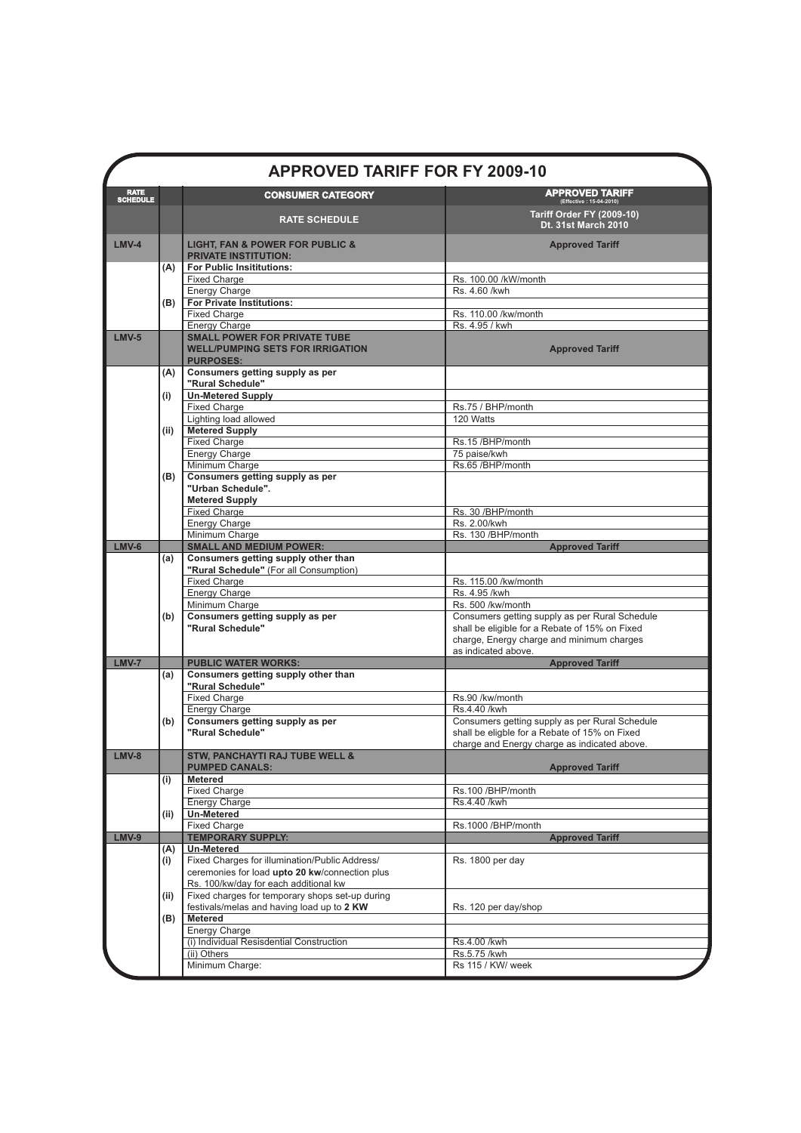|                  |      | <b>APPROVED TARIFF FOR FY 2009-10</b>                                                                                      |                                                                                                                                                                      |
|------------------|------|----------------------------------------------------------------------------------------------------------------------------|----------------------------------------------------------------------------------------------------------------------------------------------------------------------|
| RATE<br>SCHEDULE |      | <b>CONSUMER CATEGORY</b>                                                                                                   | $\mathsf{APPROVED}$ TARIFF (Effective : 15-04-2010)                                                                                                                  |
|                  |      | <b>RATE SCHEDULE</b>                                                                                                       | <b>Tariff Order FY (2009-10)</b><br>Dt. 31st March 2010                                                                                                              |
| $LMV-4$          |      | <b>LIGHT, FAN &amp; POWER FOR PUBLIC &amp;</b><br><b>PRIVATE INSTITUTION:</b>                                              | <b>Approved Tariff</b>                                                                                                                                               |
|                  | (A)  | <b>For Public Insititutions:</b><br><b>Fixed Charge</b>                                                                    | Rs. 100.00 /kW/month                                                                                                                                                 |
|                  |      | <b>Energy Charge</b>                                                                                                       | Rs. 4.60 /kwh                                                                                                                                                        |
|                  | (B)  | For Private Institutions:                                                                                                  |                                                                                                                                                                      |
|                  |      | <b>Fixed Charge</b>                                                                                                        | Rs. 110.00 /kw/month                                                                                                                                                 |
| $LMV-5$          |      | <b>Energy Charge</b><br><b>SMALL POWER FOR PRIVATE TUBE</b><br><b>WELL/PUMPING SETS FOR IRRIGATION</b><br><b>PURPOSES:</b> | Rs. 4.95 / kwh<br><b>Approved Tariff</b>                                                                                                                             |
|                  | (A)  | Consumers getting supply as per<br>"Rural Schedule"                                                                        |                                                                                                                                                                      |
|                  | (i)  | <b>Un-Metered Supply</b>                                                                                                   |                                                                                                                                                                      |
|                  |      | <b>Fixed Charge</b>                                                                                                        | Rs.75 / BHP/month<br>120 Watts                                                                                                                                       |
|                  | (ii) | Lighting load allowed<br><b>Metered Supply</b>                                                                             |                                                                                                                                                                      |
|                  |      | <b>Fixed Charge</b>                                                                                                        | Rs.15 /BHP/month                                                                                                                                                     |
|                  |      | <b>Energy Charge</b>                                                                                                       | 75 paise/kwh                                                                                                                                                         |
|                  | (B)  | Minimum Charge<br>Consumers getting supply as per                                                                          | Rs.65 /BHP/month                                                                                                                                                     |
|                  |      | "Urban Schedule".<br><b>Metered Supply</b>                                                                                 |                                                                                                                                                                      |
|                  |      | <b>Fixed Charge</b>                                                                                                        | Rs. 30 /BHP/month                                                                                                                                                    |
|                  |      | Energy Charge<br>Minimum Charge                                                                                            | Rs. 2.00/kwh<br>Rs. 130 /BHP/month                                                                                                                                   |
| <b>LMV-6</b>     |      | <b>SMALL AND MEDIUM POWER:</b>                                                                                             | <b>Approved Tariff</b>                                                                                                                                               |
|                  | (a)  | Consumers getting supply other than                                                                                        |                                                                                                                                                                      |
|                  |      | "Rural Schedule" (For all Consumption)<br><b>Fixed Charge</b>                                                              | Rs. 115.00 /kw/month                                                                                                                                                 |
|                  |      | <b>Energy Charge</b>                                                                                                       | Rs. 4.95 /kwh                                                                                                                                                        |
|                  |      | Minimum Charge                                                                                                             | Rs. 500 /kw/month                                                                                                                                                    |
|                  | (b)  | Consumers getting supply as per<br>"Rural Schedule"                                                                        | Consumers getting supply as per Rural Schedule<br>shall be eligible for a Rebate of 15% on Fixed<br>charge, Energy charge and minimum charges<br>as indicated above. |
| <b>LMV-7</b>     |      | <b>PUBLIC WATER WORKS:</b>                                                                                                 | <b>Approved Tariff</b>                                                                                                                                               |
|                  | (a)  | Consumers getting supply other than<br>"Rural Schedule"                                                                    |                                                                                                                                                                      |
|                  |      | <b>Fixed Charge</b><br><b>Energy Charge</b>                                                                                | Rs.90 /kw/month<br>Rs.4.40 /kwh                                                                                                                                      |
|                  | (b)  | Consumers getting supply as per                                                                                            | Consumers getting supply as per Rural Schedule                                                                                                                       |
|                  |      | "Rural Schedule"                                                                                                           | shall be eligble for a Rebate of 15% on Fixed<br>charge and Energy charge as indicated above.                                                                        |
| $LMV-8$          |      | <b>STW, PANCHAYTI RAJ TUBE WELL &amp;</b><br><b>PUMPED CANALS:</b>                                                         | <b>Approved Tariff</b>                                                                                                                                               |
|                  | (i)  | Metered<br><b>Fixed Charge</b>                                                                                             | Rs.100 /BHP/month                                                                                                                                                    |
|                  |      | <b>Energy Charge</b>                                                                                                       | Rs.4.40 /kwh                                                                                                                                                         |
|                  | (ii) | <b>Un-Metered</b>                                                                                                          |                                                                                                                                                                      |
|                  |      | <b>Fixed Charge</b><br><b>TEMPORARY SUPPLY:</b>                                                                            | Rs.1000 /BHP/month                                                                                                                                                   |
| <b>LMV-9</b>     | (A)  | Un-Metered                                                                                                                 | <b>Approved Tariff</b>                                                                                                                                               |
|                  | (i)  | Fixed Charges for illumination/Public Address/                                                                             | Rs. 1800 per day                                                                                                                                                     |
|                  |      | ceremonies for load upto 20 kw/connection plus                                                                             |                                                                                                                                                                      |
|                  | (ii) | Rs. 100/kw/day for each additional kw<br>Fixed charges for temporary shops set-up during                                   |                                                                                                                                                                      |
|                  |      | festivals/melas and having load up to 2 KW                                                                                 | Rs. 120 per day/shop                                                                                                                                                 |
|                  | (B)  | <b>Metered</b>                                                                                                             |                                                                                                                                                                      |
|                  |      | <b>Energy Charge</b>                                                                                                       |                                                                                                                                                                      |
|                  |      | (i) Individual Resisdential Construction<br>(ii) Others                                                                    | Rs.4.00 /kwh<br>Rs.5.75 /kwh                                                                                                                                         |
|                  |      | Minimum Charge:                                                                                                            | Rs 115 / KW/ week                                                                                                                                                    |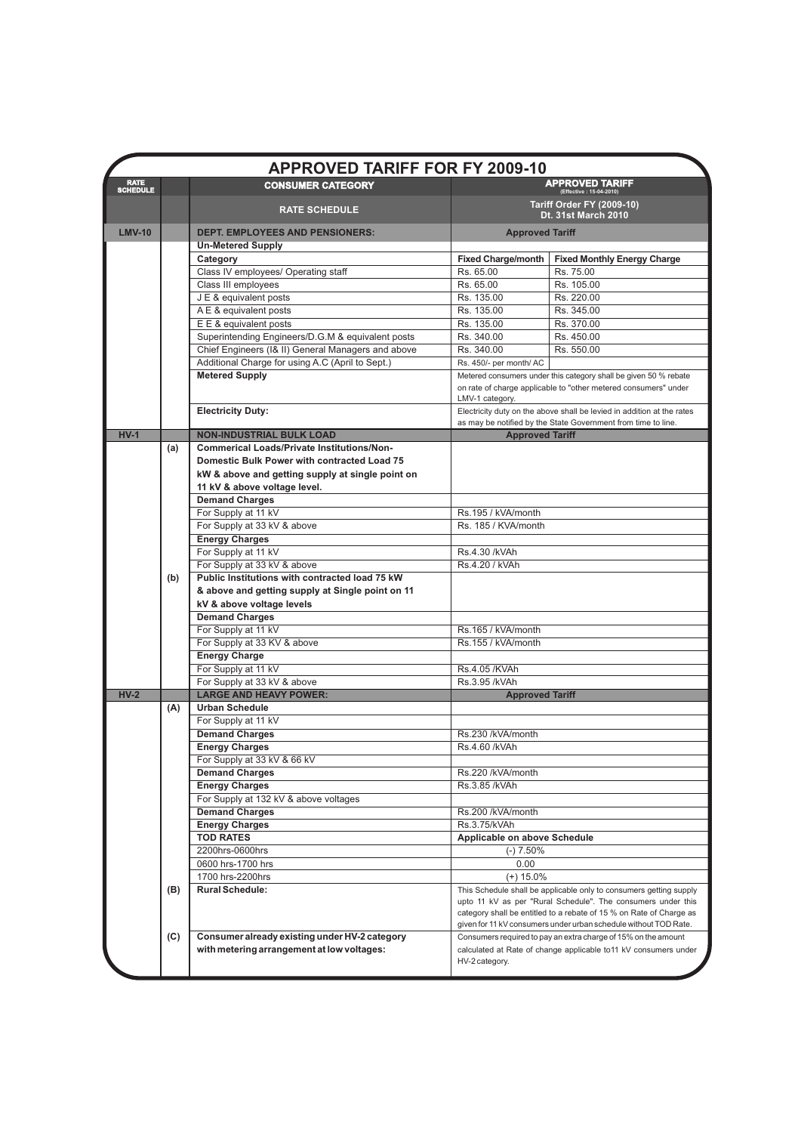|                                |     | <b>APPROVED TARIFF FOR FY 2009-10</b>                                                |                                                                                                                                                                                                                                  |                                                                                                                                                                                                         |
|--------------------------------|-----|--------------------------------------------------------------------------------------|----------------------------------------------------------------------------------------------------------------------------------------------------------------------------------------------------------------------------------|---------------------------------------------------------------------------------------------------------------------------------------------------------------------------------------------------------|
| <b>RATE</b><br><b>SCHEDULE</b> |     | <b>CONSUMER CATEGORY</b>                                                             |                                                                                                                                                                                                                                  | <b>APPROVED TARIFF</b><br>(Effective: 15-04-2010)                                                                                                                                                       |
|                                |     | <b>RATE SCHEDULE</b>                                                                 |                                                                                                                                                                                                                                  | <b>Tariff Order FY (2009-10)</b><br><b>Dt. 31st March 2010</b>                                                                                                                                          |
| <b>LMV-10</b>                  |     | <b>DEPT. EMPLOYEES AND PENSIONERS:</b>                                               | <b>Approved Tariff</b>                                                                                                                                                                                                           |                                                                                                                                                                                                         |
|                                |     | <b>Un-Metered Supply</b>                                                             |                                                                                                                                                                                                                                  |                                                                                                                                                                                                         |
|                                |     | Category                                                                             | <b>Fixed Charge/month</b>                                                                                                                                                                                                        | <b>Fixed Monthly Energy Charge</b>                                                                                                                                                                      |
|                                |     | Class IV employees/ Operating staff                                                  | Rs. 65.00                                                                                                                                                                                                                        | Rs. 75.00                                                                                                                                                                                               |
|                                |     | Class III employees                                                                  | Rs. 65.00                                                                                                                                                                                                                        | Rs. 105.00                                                                                                                                                                                              |
|                                |     | J E & equivalent posts                                                               | Rs. 135.00                                                                                                                                                                                                                       | Rs. 220.00                                                                                                                                                                                              |
|                                |     | A E & equivalent posts                                                               | Rs. 135.00<br>Rs. 135.00                                                                                                                                                                                                         | Rs. 345.00<br>Rs. 370.00                                                                                                                                                                                |
|                                |     | E E & equivalent posts<br>Superintending Engineers/D.G.M & equivalent posts          | Rs. 340.00                                                                                                                                                                                                                       | Rs. 450.00                                                                                                                                                                                              |
|                                |     | Chief Engineers (I& II) General Managers and above                                   | Rs. 340.00                                                                                                                                                                                                                       | Rs. 550.00                                                                                                                                                                                              |
|                                |     | Additional Charge for using A.C (April to Sept.)                                     | Rs. 450/- per month/ AC                                                                                                                                                                                                          |                                                                                                                                                                                                         |
|                                |     | <b>Metered Supply</b>                                                                |                                                                                                                                                                                                                                  |                                                                                                                                                                                                         |
|                                |     |                                                                                      | Metered consumers under this category shall be given 50 % rebate<br>on rate of charge applicable to "other metered consumers" under<br>LMV-1 category.<br>Electricity duty on the above shall be levied in addition at the rates |                                                                                                                                                                                                         |
|                                |     | <b>Electricity Duty:</b>                                                             |                                                                                                                                                                                                                                  |                                                                                                                                                                                                         |
| $HV-1$                         |     |                                                                                      |                                                                                                                                                                                                                                  | as may be notified by the State Government from time to line.                                                                                                                                           |
|                                | (a) | <b>NON-INDUSTRIAL BULK LOAD</b><br><b>Commerical Loads/Private Institutions/Non-</b> | <b>Approved Tariff</b>                                                                                                                                                                                                           |                                                                                                                                                                                                         |
|                                |     | <b>Domestic Bulk Power with contracted Load 75</b>                                   |                                                                                                                                                                                                                                  |                                                                                                                                                                                                         |
|                                |     | kW & above and getting supply at single point on                                     |                                                                                                                                                                                                                                  |                                                                                                                                                                                                         |
|                                |     | 11 kV & above voltage level.                                                         |                                                                                                                                                                                                                                  |                                                                                                                                                                                                         |
|                                |     | <b>Demand Charges</b>                                                                |                                                                                                                                                                                                                                  |                                                                                                                                                                                                         |
|                                |     | For Supply at 11 kV                                                                  | Rs.195 / kVA/month                                                                                                                                                                                                               |                                                                                                                                                                                                         |
|                                |     | For Supply at 33 kV & above                                                          | Rs. 185 / KVA/month                                                                                                                                                                                                              |                                                                                                                                                                                                         |
|                                |     | <b>Energy Charges</b>                                                                |                                                                                                                                                                                                                                  |                                                                                                                                                                                                         |
|                                |     | For Supply at 11 kV                                                                  | Rs.4.30 /kVAh                                                                                                                                                                                                                    |                                                                                                                                                                                                         |
|                                |     | For Supply at 33 kV & above                                                          | Rs.4.20 / kVAh                                                                                                                                                                                                                   |                                                                                                                                                                                                         |
|                                | (b) | Public Institutions with contracted load 75 kW                                       |                                                                                                                                                                                                                                  |                                                                                                                                                                                                         |
|                                |     | & above and getting supply at Single point on 11                                     |                                                                                                                                                                                                                                  |                                                                                                                                                                                                         |
|                                |     | kV & above voltage levels                                                            |                                                                                                                                                                                                                                  |                                                                                                                                                                                                         |
|                                |     | <b>Demand Charges</b>                                                                |                                                                                                                                                                                                                                  |                                                                                                                                                                                                         |
|                                |     | For Supply at 11 kV                                                                  | Rs.165 / kVA/month                                                                                                                                                                                                               |                                                                                                                                                                                                         |
|                                |     | For Supply at 33 KV & above                                                          | Rs.155 / kVA/month                                                                                                                                                                                                               |                                                                                                                                                                                                         |
|                                |     | <b>Energy Charge</b>                                                                 |                                                                                                                                                                                                                                  |                                                                                                                                                                                                         |
|                                |     | For Supply at 11 kV                                                                  | Rs.4.05 /KVAh                                                                                                                                                                                                                    |                                                                                                                                                                                                         |
|                                |     | For Supply at 33 kV & above                                                          | Rs.3.95 /kVAh                                                                                                                                                                                                                    |                                                                                                                                                                                                         |
| $HV-2$                         |     | <b>LARGE AND HEAVY POWER:</b>                                                        | <b>Approved Tariff</b>                                                                                                                                                                                                           |                                                                                                                                                                                                         |
|                                | (A) | <b>Urban Schedule</b>                                                                |                                                                                                                                                                                                                                  |                                                                                                                                                                                                         |
|                                |     | For Supply at 11 kV                                                                  |                                                                                                                                                                                                                                  |                                                                                                                                                                                                         |
|                                |     | <b>Demand Charges</b><br><b>Energy Charges</b>                                       | Rs.230 /kVA/month<br>Rs.4.60 /kVAh                                                                                                                                                                                               |                                                                                                                                                                                                         |
|                                |     | For Supply at 33 kV & 66 kV                                                          |                                                                                                                                                                                                                                  |                                                                                                                                                                                                         |
|                                |     | <b>Demand Charges</b>                                                                | Rs.220 /kVA/month                                                                                                                                                                                                                |                                                                                                                                                                                                         |
|                                |     | <b>Energy Charges</b>                                                                | Rs.3.85 /kVAh                                                                                                                                                                                                                    |                                                                                                                                                                                                         |
|                                |     | For Supply at 132 kV & above voltages                                                |                                                                                                                                                                                                                                  |                                                                                                                                                                                                         |
|                                |     | <b>Demand Charges</b>                                                                | Rs.200 /kVA/month                                                                                                                                                                                                                |                                                                                                                                                                                                         |
|                                |     | <b>Energy Charges</b>                                                                | Rs.3.75/kVAh                                                                                                                                                                                                                     |                                                                                                                                                                                                         |
|                                |     | <b>TOD RATES</b>                                                                     | Applicable on above Schedule                                                                                                                                                                                                     |                                                                                                                                                                                                         |
|                                |     | 2200hrs-0600hrs                                                                      | $(-) 7.50%$                                                                                                                                                                                                                      |                                                                                                                                                                                                         |
|                                |     | 0600 hrs-1700 hrs                                                                    | 0.00                                                                                                                                                                                                                             |                                                                                                                                                                                                         |
|                                |     | 1700 hrs-2200hrs                                                                     | $(+)$ 15.0%                                                                                                                                                                                                                      |                                                                                                                                                                                                         |
|                                | (B) | <b>Rural Schedule:</b>                                                               |                                                                                                                                                                                                                                  | This Schedule shall be applicable only to consumers getting supply                                                                                                                                      |
|                                |     |                                                                                      |                                                                                                                                                                                                                                  | upto 11 kV as per "Rural Schedule". The consumers under this<br>category shall be entitled to a rebate of 15 % on Rate of Charge as<br>given for 11 kV consumers under urban schedule without TOD Rate. |
|                                | (C) | Consumer already existing under HV-2 category                                        |                                                                                                                                                                                                                                  | Consumers required to pay an extra charge of 15% on the amount                                                                                                                                          |
|                                |     | with metering arrangement at low voltages:                                           | HV-2 category.                                                                                                                                                                                                                   | calculated at Rate of change applicable to11 kV consumers under                                                                                                                                         |